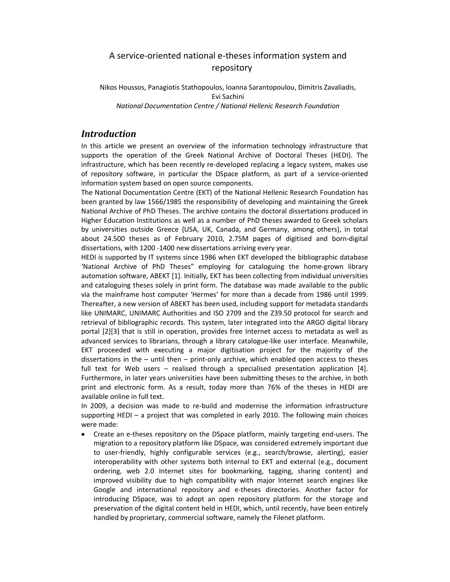# A service-oriented national e-theses information system and repository

Nikos Houssos, Panagiotis Stathopoulos, Ioanna Sarantopoulou, Dimitris Zavaliadis, Evi Sachini National Documentation Centre / National Hellenic Research Foundation

### **Introduction**

In this article we present an overview of the information technology infrastructure that supports the operation of the Greek National Archive of Doctoral Theses (HEDI). The infrastructure, which has been recently re-developed replacing a legacy system, makes use of repository software, in particular the DSpace platform, as part of a service-oriented information system based on open source components.

The National Documentation Centre (EKT) of the National Hellenic Research Foundation has been granted by law 1566/1985 the responsibility of developing and maintaining the Greek National Archive of PhD Theses. The archive contains the doctoral dissertations produced in Higher Education Institutions as well as a number of PhD theses awarded to Greek scholars by universities outside Greece (USA, UK, Canada, and Germany, among others), in total about 24.500 theses as of February 2010, 2.75M pages of digitised and born-digital dissertations, with 1200 -1400 new dissertations arriving every year.

HEDI is supported by IT systems since 1986 when EKT developed the bibliographic database 'National Archive of PhD Theses" employing for cataloguing the home-grown library automation software, ABEKT [1]. Initially, EKT has been collecting from individual universities and cataloguing theses solely in print form. The database was made available to the public via the mainframe host computer 'Hermes' for more than a decade from 1986 until 1999. Thereafter, a new version of ABEKT has been used, including support for metadata standards like UNIMARC, UNIMARC Authorities and ISO 2709 and the Z39.50 protocol for search and retrieval of bibliographic records. This system, later integrated into the ARGO digital library portal [2][3] that is still in operation, provides free Internet access to metadata as well as advanced services to librarians, through a library catalogue-like user interface. Meanwhile, EKT proceeded with executing a major digitisation project for the majority of the dissertations in the – until then – print-only archive, which enabled open access to theses full text for Web users – realised through a specialised presentation application [4]. Furthermore, in later years universities have been submitting theses to the archive, in both print and electronic form. As a result, today more than 76% of the theses in HEDI are available online in full text.

In 2009, a decision was made to re-build and modernise the information infrastructure supporting HEDI – a project that was completed in early 2010. The following main choices were made:

• Create an e-theses repository on the DSpace platform, mainly targeting end-users. The migration to a repository platform like DSpace, was considered extremely important due to user-friendly, highly configurable services (e.g., search/browse, alerting), easier interoperability with other systems both internal to EKT and external (e.g., document ordering, web 2.0 Internet sites for bookmarking, tagging, sharing content) and improved visibility due to high compatibility with major Internet search engines like Google and international repository and e-theses directories. Another factor for introducing DSpace, was to adopt an open repository platform for the storage and preservation of the digital content held in HEDI, which, until recently, have been entirely handled by proprietary, commercial software, namely the Filenet platform.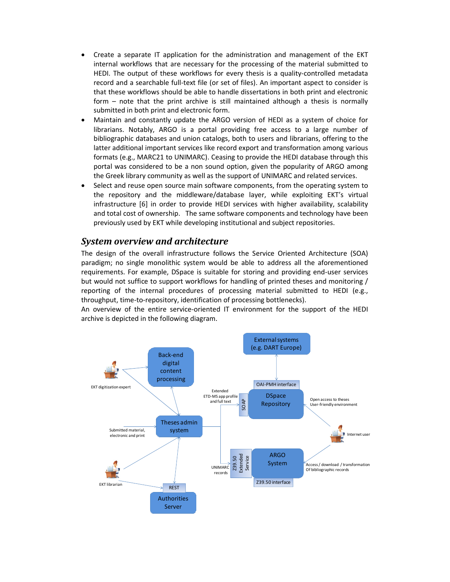- Create a separate IT application for the administration and management of the EKT internal workflows that are necessary for the processing of the material submitted to HEDI. The output of these workflows for every thesis is a quality-controlled metadata record and a searchable full-text file (or set of files). An important aspect to consider is that these workflows should be able to handle dissertations in both print and electronic form – note that the print archive is still maintained although a thesis is normally submitted in both print and electronic form.
- Maintain and constantly update the ARGO version of HEDI as a system of choice for librarians. Notably, ARGO is a portal providing free access to a large number of bibliographic databases and union catalogs, both to users and librarians, offering to the latter additional important services like record export and transformation among various formats (e.g., MARC21 to UNIMARC). Ceasing to provide the HEDI database through this portal was considered to be a non sound option, given the popularity of ARGO among the Greek library community as well as the support of UNIMARC and related services.
- Select and reuse open source main software components, from the operating system to the repository and the middleware/database layer, while exploiting EKT's virtual infrastructure [6] in order to provide HEDI services with higher availability, scalability and total cost of ownership. The same software components and technology have been previously used by EKT while developing institutional and subject repositories.

#### System overview and architecture

The design of the overall infrastructure follows the Service Oriented Architecture (SOA) paradigm; no single monolithic system would be able to address all the aforementioned requirements. For example, DSpace is suitable for storing and providing end-user services but would not suffice to support workflows for handling of printed theses and monitoring / reporting of the internal procedures of processing material submitted to HEDI (e.g., throughput, time-to-repository, identification of processing bottlenecks).

An overview of the entire service-oriented IT environment for the support of the HEDI archive is depicted in the following diagram.

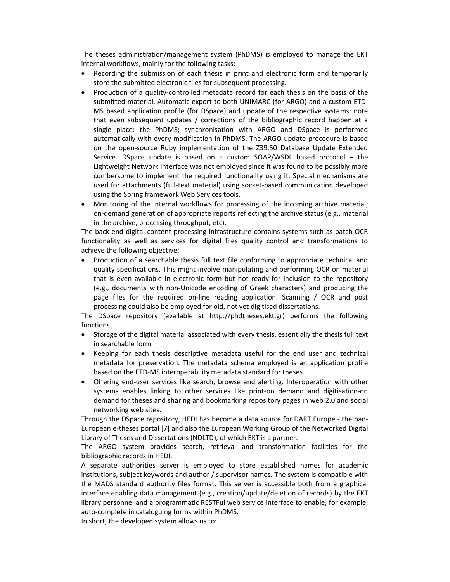The theses administration/management system (PhDMS) is employed to manage the EKT internal workflows, mainly for the following tasks:

- Recording the submission of each thesis in print and electronic form and temporarily store the submitted electronic files for subsequent processing.
- Production of a quality-controlled metadata record for each thesis on the basis of the submitted material. Automatic export to both UNIMARC (for ARGO) and a custom ETD-MS based application profile (for DSpace) and update of the respective systems; note that even subsequent updates / corrections of the bibliographic record happen at a single place: the PhDMS; synchronisation with ARGO and DSpace is performed automatically with every modification in PhDMS. The ARGO update procedure is based on the open-source Ruby implementation of the Z39.50 Database Update Extended Service. DSpace update is based on a custom SOAP/WSDL based protocol – the Lightweight Network Interface was not employed since it was found to be possibly more cumbersome to implement the required functionality using it. Special mechanisms are used for attachments (full-text material) using socket-based communication developed using the Spring framework Web Services tools.
- Monitoring of the internal workflows for processing of the incoming archive material; on-demand generation of appropriate reports reflecting the archive status (e.g., material in the archive, processing throughput, etc).

The back-end digital content processing infrastructure contains systems such as batch OCR functionality as well as services for digital files quality control and transformations to achieve the following objective:

• Production of a searchable thesis full text file conforming to appropriate technical and quality specifications. This might involve manipulating and performing OCR on material that is even available in electronic form but not ready for inclusion to the repository (e.g., documents with non-Unicode encoding of Greek characters) and producing the page files for the required on-line reading application. Scanning / OCR and post processing could also be employed for old, not yet digitised dissertations.

The DSpace repository (available at http://phdtheses.ekt.gr) performs the following functions:

- Storage of the digital material associated with every thesis, essentially the thesis full text in searchable form.
- Keeping for each thesis descriptive metadata useful for the end user and technical metadata for preservation. The metadata schema employed is an application profile based on the ETD-MS interoperability metadata standard for theses.
- Offering end-user services like search, browse and alerting. Interoperation with other systems enables linking to other services like print-on demand and digitisation-on demand for theses and sharing and bookmarking repository pages in web 2.0 and social networking web sites.

Through the DSpace repository, HEDI has become a data source for DART Europe - the pan-European e-theses portal [7] and also the European Working Group of the Networked Digital Library of Theses and Dissertations (NDLTD), of which EKT is a partner.

The ARGO system provides search, retrieval and transformation facilities for the bibliographic records in HEDI.

A separate authorities server is employed to store established names for academic institutions, subject keywords and author / supervisor names. The system is compatible with the MADS standard authority files format. This server is accessible both from a graphical interface enabling data management (e.g., creation/update/deletion of records) by the EKT library personnel and a programmatic RESTFul web service interface to enable, for example, auto-complete in cataloguing forms within PhDMS.

In short, the developed system allows us to: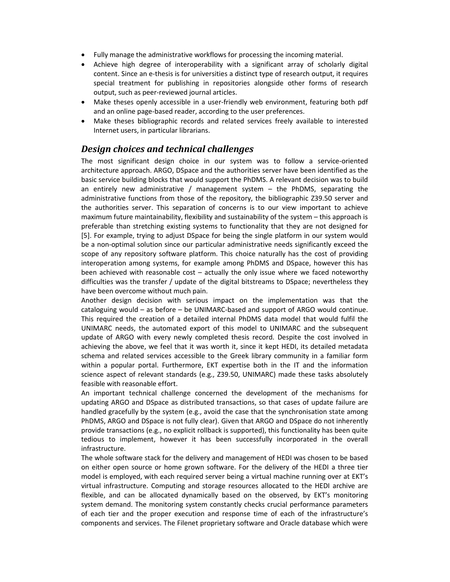- Fully manage the administrative workflows for processing the incoming material.
- Achieve high degree of interoperability with a significant array of scholarly digital content. Since an e-thesis is for universities a distinct type of research output, it requires special treatment for publishing in repositories alongside other forms of research output, such as peer-reviewed journal articles.
- Make theses openly accessible in a user-friendly web environment, featuring both pdf and an online page-based reader, according to the user preferences.
- Make theses bibliographic records and related services freely available to interested Internet users, in particular librarians.

# Design choices and technical challenges

The most significant design choice in our system was to follow a service-oriented architecture approach. ARGO, DSpace and the authorities server have been identified as the basic service building blocks that would support the PhDMS. A relevant decision was to build an entirely new administrative / management system  $-$  the PhDMS, separating the administrative functions from those of the repository, the bibliographic Z39.50 server and the authorities server. This separation of concerns is to our view important to achieve maximum future maintainability, flexibility and sustainability of the system – this approach is preferable than stretching existing systems to functionality that they are not designed for [5]. For example, trying to adjust DSpace for being the single platform in our system would be a non-optimal solution since our particular administrative needs significantly exceed the scope of any repository software platform. This choice naturally has the cost of providing interoperation among systems, for example among PhDMS and DSpace, however this has been achieved with reasonable cost – actually the only issue where we faced noteworthy difficulties was the transfer / update of the digital bitstreams to DSpace; nevertheless they have been overcome without much pain.

Another design decision with serious impact on the implementation was that the cataloguing would – as before – be UNIMARC-based and support of ARGO would continue. This required the creation of a detailed internal PhDMS data model that would fulfil the UNIMARC needs, the automated export of this model to UNIMARC and the subsequent update of ARGO with every newly completed thesis record. Despite the cost involved in achieving the above, we feel that it was worth it, since it kept HEDI, its detailed metadata schema and related services accessible to the Greek library community in a familiar form within a popular portal. Furthermore, EKT expertise both in the IT and the information science aspect of relevant standards (e.g., Z39.50, UNIMARC) made these tasks absolutely feasible with reasonable effort.

An important technical challenge concerned the development of the mechanisms for updating ARGO and DSpace as distributed transactions, so that cases of update failure are handled gracefully by the system (e.g., avoid the case that the synchronisation state among PhDMS, ARGO and DSpace is not fully clear). Given that ARGO and DSpace do not inherently provide transactions (e.g., no explicit rollback is supported), this functionality has been quite tedious to implement, however it has been successfully incorporated in the overall infrastructure.

The whole software stack for the delivery and management of HEDI was chosen to be based on either open source or home grown software. For the delivery of the HEDI a three tier model is employed, with each required server being a virtual machine running over at EKT's virtual infrastructure. Computing and storage resources allocated to the HEDI archive are flexible, and can be allocated dynamically based on the observed, by EKT's monitoring system demand. The monitoring system constantly checks crucial performance parameters of each tier and the proper execution and response time of each of the infrastructure's components and services. The Filenet proprietary software and Oracle database which were